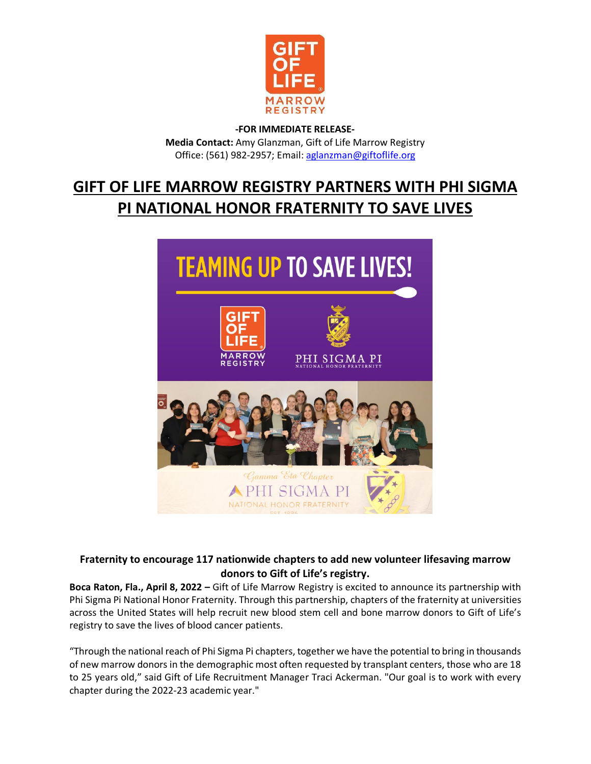

## **-FOR IMMEDIATE RELEASE-Media Contact:** Amy Glanzman, Gift of Life Marrow Registry Office: (561) 982-2957; Email: [aglanzman@giftoflife.org](file://GOLBOCAFS/PUBLIC/MARKETING_DEPT/Karen_Newcombe/Press%20releases/2022/aglanzman@giftoflife.org)

# **GIFT OF LIFE MARROW REGISTRY PARTNERS WITH PHI SIGMA PI NATIONAL HONOR FRATERNITY TO SAVE LIVES**



## **Fraternity to encourage 117 nationwide chapters to add new volunteer lifesaving marrow donors to Gift of Life's registry.**

**Boca Raton, Fla., April 8, 2022 –** Gift of Life Marrow Registry is excited to announce its partnership with Phi Sigma Pi National Honor Fraternity. Through this partnership, chapters of the fraternity at universities across the United States will help recruit new blood stem cell and bone marrow donors to Gift of Life's registry to save the lives of blood cancer patients.

"Through the national reach of Phi Sigma Pi chapters, together we have the potential to bring in thousands of new marrow donors in the demographic most often requested by transplant centers, those who are 18 to 25 years old," said Gift of Life Recruitment Manager Traci Ackerman. "Our goal is to work with every chapter during the 2022-23 academic year."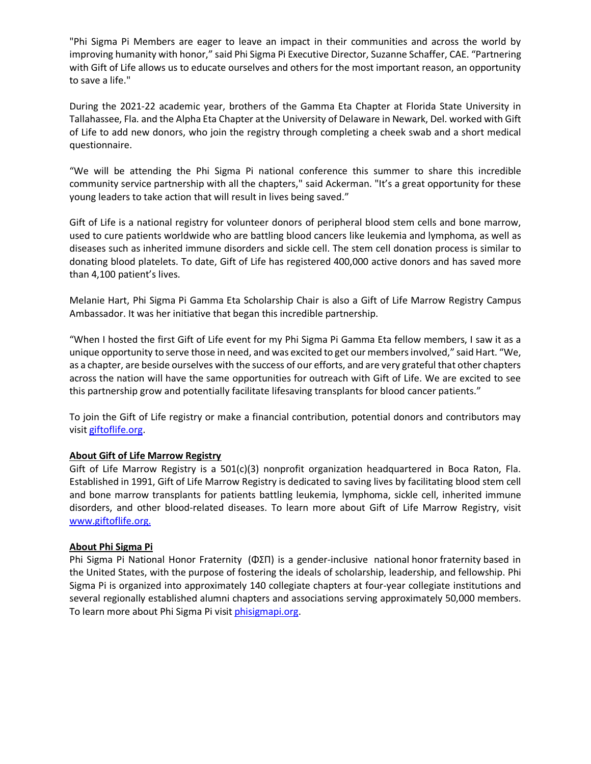"Phi Sigma Pi Members are eager to leave an impact in their communities and across the world by improving humanity with honor," said Phi Sigma Pi Executive Director, Suzanne Schaffer, CAE. "Partnering with Gift of Life allows us to educate ourselves and others for the most important reason, an opportunity to save a life."

During the 2021-22 academic year, brothers of the Gamma Eta Chapter at Florida State University in Tallahassee, Fla. and the Alpha Eta Chapter at the University of Delaware in Newark, Del. worked with Gift of Life to add new donors, who join the registry through completing a cheek swab and a short medical questionnaire.

"We will be attending the Phi Sigma Pi national conference this summer to share this incredible community service partnership with all the chapters," said Ackerman. "It's a great opportunity for these young leaders to take action that will result in lives being saved."

Gift of Life is a national registry for volunteer donors of peripheral blood stem cells and bone marrow, used to cure patients worldwide who are battling blood cancers like leukemia and lymphoma, as well as diseases such as inherited immune disorders and sickle cell. The stem cell donation process is similar to donating blood platelets. To date, Gift of Life has registered 400,000 active donors and has saved more than 4,100 patient's lives.

Melanie Hart, Phi Sigma Pi Gamma Eta Scholarship Chair is also a Gift of Life Marrow Registry Campus Ambassador. It was her initiative that began this incredible partnership.

"When I hosted the first Gift of Life event for my Phi Sigma Pi Gamma Eta fellow members, I saw it as a unique opportunity to serve those in need, and was excited to get our membersinvolved," said Hart. "We, as a chapter, are beside ourselves with the success of our efforts, and are very grateful that other chapters across the nation will have the same opportunities for outreach with Gift of Life. We are excited to see this partnership grow and potentially facilitate lifesaving transplants for blood cancer patients."

To join the Gift of Life registry or make a financial contribution, potential donors and contributors may visi[t giftoflife.org.](https://www.giftoflife.org/)

### **About Gift of Life Marrow Registry**

Gift of Life Marrow Registry is a 501(c)(3) nonprofit organization headquartered in Boca Raton, Fla. Established in 1991, Gift of Life Marrow Registry is dedicated to saving lives by facilitating blood stem cell and bone marrow transplants for patients battling leukemia, lymphoma, sickle cell, inherited immune disorders, and other blood-related diseases. To learn more about Gift of Life Marrow Registry, visit [www.giftoflife.org.](http://www.giftoflife.org/)

### **About Phi Sigma Pi**

Phi Sigma Pi National Honor Fraternity (ΦΣΠ) is a gender-inclusive national [honor](https://en.wikipedia.org/wiki/Honor_societies) [fraternity](https://en.wikipedia.org/wiki/Fraternities_and_sororities_in_North_America) based in the [United States,](https://en.wikipedia.org/wiki/United_States) with the purpose of fostering the ideals of scholarship, leadership, and fellowship. Phi Sigma Pi is organized into approximately 140 collegiate chapters at four-year collegiate institutions and several regionally established alumni chapters and associations serving approximately 50,000 members. To learn more about Phi Sigma Pi visit [phisigmapi.org.](https://phisigmapi.org/)